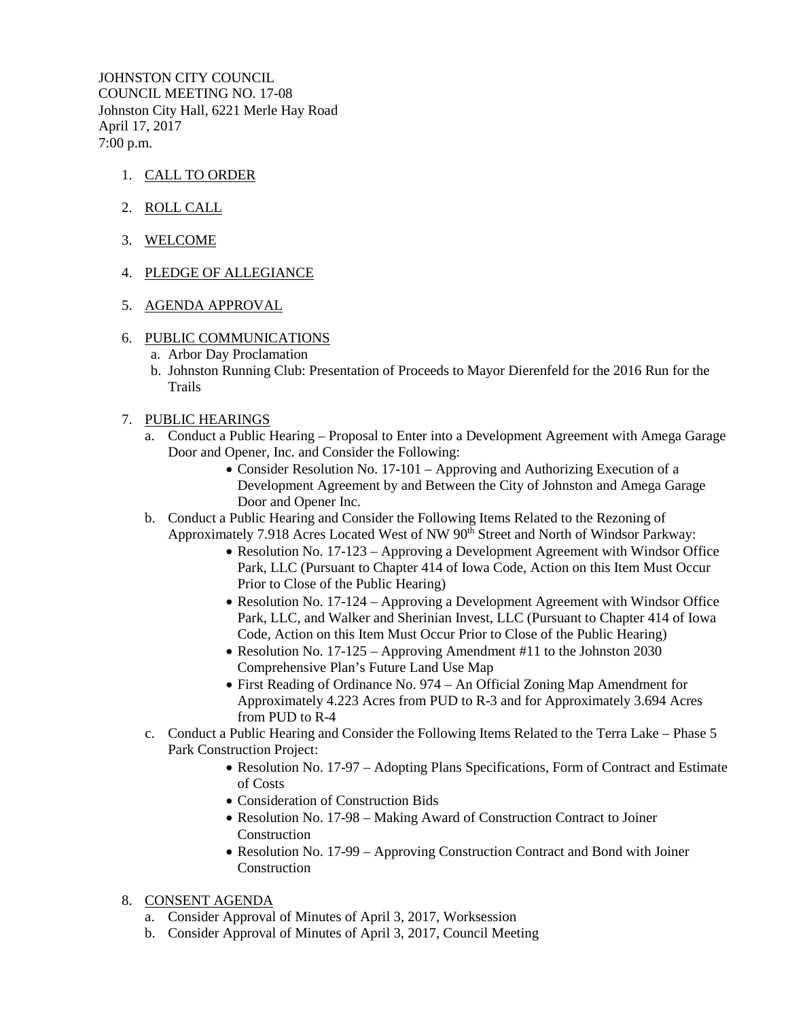JOHNSTON CITY COUNCIL COUNCIL MEETING NO. 17-08 Johnston City Hall, 6221 Merle Hay Road April 17, 2017 7:00 p.m.

- 1. CALL TO ORDER
- 2. ROLL CALL
- 3. WELCOME
- 4. PLEDGE OF ALLEGIANCE
- 5. AGENDA APPROVAL
- 6. PUBLIC COMMUNICATIONS
	- a. Arbor Day Proclamation
	- b. Johnston Running Club: Presentation of Proceeds to Mayor Dierenfeld for the 2016 Run for the Trails
- 7. PUBLIC HEARINGS
	- a. Conduct a Public Hearing Proposal to Enter into a Development Agreement with Amega Garage Door and Opener, Inc. and Consider the Following:
		- Consider Resolution No. 17-101 Approving and Authorizing Execution of a Development Agreement by and Between the City of Johnston and Amega Garage Door and Opener Inc.
	- b. Conduct a Public Hearing and Consider the Following Items Related to the Rezoning of Approximately 7.918 Acres Located West of NW 90<sup>th</sup> Street and North of Windsor Parkway:
		- Resolution No. 17-123 Approving a Development Agreement with Windsor Office Park, LLC (Pursuant to Chapter 414 of Iowa Code, Action on this Item Must Occur Prior to Close of the Public Hearing)
		- Resolution No. 17-124 Approving a Development Agreement with Windsor Office Park, LLC, and Walker and Sherinian Invest, LLC (Pursuant to Chapter 414 of Iowa Code, Action on this Item Must Occur Prior to Close of the Public Hearing)
		- Resolution No. 17-125 Approving Amendment #11 to the Johnston 2030 Comprehensive Plan's Future Land Use Map
		- First Reading of Ordinance No. 974 An Official Zoning Map Amendment for Approximately 4.223 Acres from PUD to R-3 and for Approximately 3.694 Acres from PUD to R-4
	- c. Conduct a Public Hearing and Consider the Following Items Related to the Terra Lake Phase 5 Park Construction Project:
		- Resolution No. 17-97 Adopting Plans Specifications, Form of Contract and Estimate of Costs
		- Consideration of Construction Bids
		- Resolution No. 17-98 Making Award of Construction Contract to Joiner Construction
		- Resolution No. 17-99 Approving Construction Contract and Bond with Joiner **Construction**
- 8. CONSENT AGENDA
	- a. Consider Approval of Minutes of April 3, 2017, Worksession
	- b. Consider Approval of Minutes of April 3, 2017, Council Meeting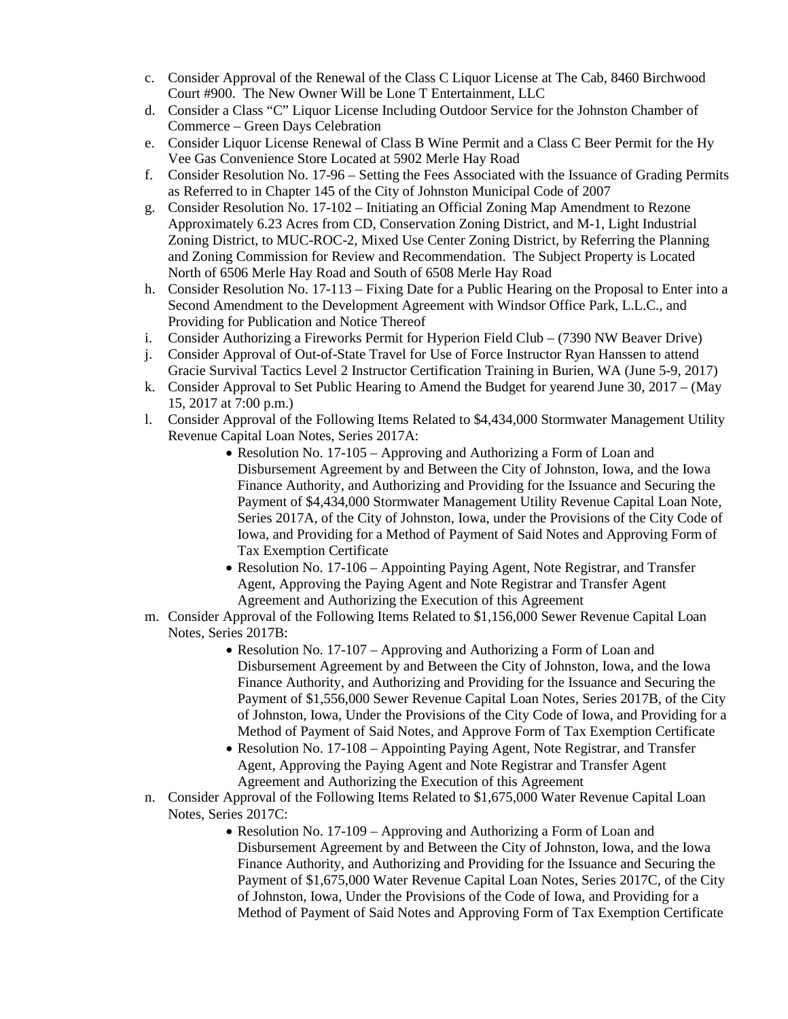- c. Consider Approval of the Renewal of the Class C Liquor License at The Cab, 8460 Birchwood Court #900. The New Owner Will be Lone T Entertainment, LLC
- d. Consider a Class "C" Liquor License Including Outdoor Service for the Johnston Chamber of Commerce – Green Days Celebration
- e. Consider Liquor License Renewal of Class B Wine Permit and a Class C Beer Permit for the Hy Vee Gas Convenience Store Located at 5902 Merle Hay Road
- f. Consider Resolution No. 17-96 Setting the Fees Associated with the Issuance of Grading Permits as Referred to in Chapter 145 of the City of Johnston Municipal Code of 2007
- g. Consider Resolution No. 17-102 Initiating an Official Zoning Map Amendment to Rezone Approximately 6.23 Acres from CD, Conservation Zoning District, and M-1, Light Industrial Zoning District, to MUC-ROC-2, Mixed Use Center Zoning District, by Referring the Planning and Zoning Commission for Review and Recommendation. The Subject Property is Located North of 6506 Merle Hay Road and South of 6508 Merle Hay Road
- h. Consider Resolution No. 17-113 Fixing Date for a Public Hearing on the Proposal to Enter into a Second Amendment to the Development Agreement with Windsor Office Park, L.L.C., and Providing for Publication and Notice Thereof
- i. Consider Authorizing a Fireworks Permit for Hyperion Field Club (7390 NW Beaver Drive)
- j. Consider Approval of Out-of-State Travel for Use of Force Instructor Ryan Hanssen to attend Gracie Survival Tactics Level 2 Instructor Certification Training in Burien, WA (June 5-9, 2017)
- k. Consider Approval to Set Public Hearing to Amend the Budget for yearend June 30, 2017 (May 15, 2017 at 7:00 p.m.)
- l. Consider Approval of the Following Items Related to \$4,434,000 Stormwater Management Utility Revenue Capital Loan Notes, Series 2017A:
	- Resolution No. 17-105 Approving and Authorizing a Form of Loan and Disbursement Agreement by and Between the City of Johnston, Iowa, and the Iowa Finance Authority, and Authorizing and Providing for the Issuance and Securing the Payment of \$4,434,000 Stormwater Management Utility Revenue Capital Loan Note, Series 2017A, of the City of Johnston, Iowa, under the Provisions of the City Code of Iowa, and Providing for a Method of Payment of Said Notes and Approving Form of Tax Exemption Certificate
	- Resolution No. 17-106 Appointing Paying Agent, Note Registrar, and Transfer Agent, Approving the Paying Agent and Note Registrar and Transfer Agent Agreement and Authorizing the Execution of this Agreement
- m. Consider Approval of the Following Items Related to \$1,156,000 Sewer Revenue Capital Loan Notes, Series 2017B:
	- Resolution No. 17-107 Approving and Authorizing a Form of Loan and Disbursement Agreement by and Between the City of Johnston, Iowa, and the Iowa Finance Authority, and Authorizing and Providing for the Issuance and Securing the Payment of \$1,556,000 Sewer Revenue Capital Loan Notes, Series 2017B, of the City of Johnston, Iowa, Under the Provisions of the City Code of Iowa, and Providing for a Method of Payment of Said Notes, and Approve Form of Tax Exemption Certificate
	- Resolution No. 17-108 Appointing Paying Agent, Note Registrar, and Transfer Agent, Approving the Paying Agent and Note Registrar and Transfer Agent Agreement and Authorizing the Execution of this Agreement
- n. Consider Approval of the Following Items Related to \$1,675,000 Water Revenue Capital Loan Notes, Series 2017C:
	- Resolution No. 17-109 Approving and Authorizing a Form of Loan and Disbursement Agreement by and Between the City of Johnston, Iowa, and the Iowa Finance Authority, and Authorizing and Providing for the Issuance and Securing the Payment of \$1,675,000 Water Revenue Capital Loan Notes, Series 2017C, of the City of Johnston, Iowa, Under the Provisions of the Code of Iowa, and Providing for a Method of Payment of Said Notes and Approving Form of Tax Exemption Certificate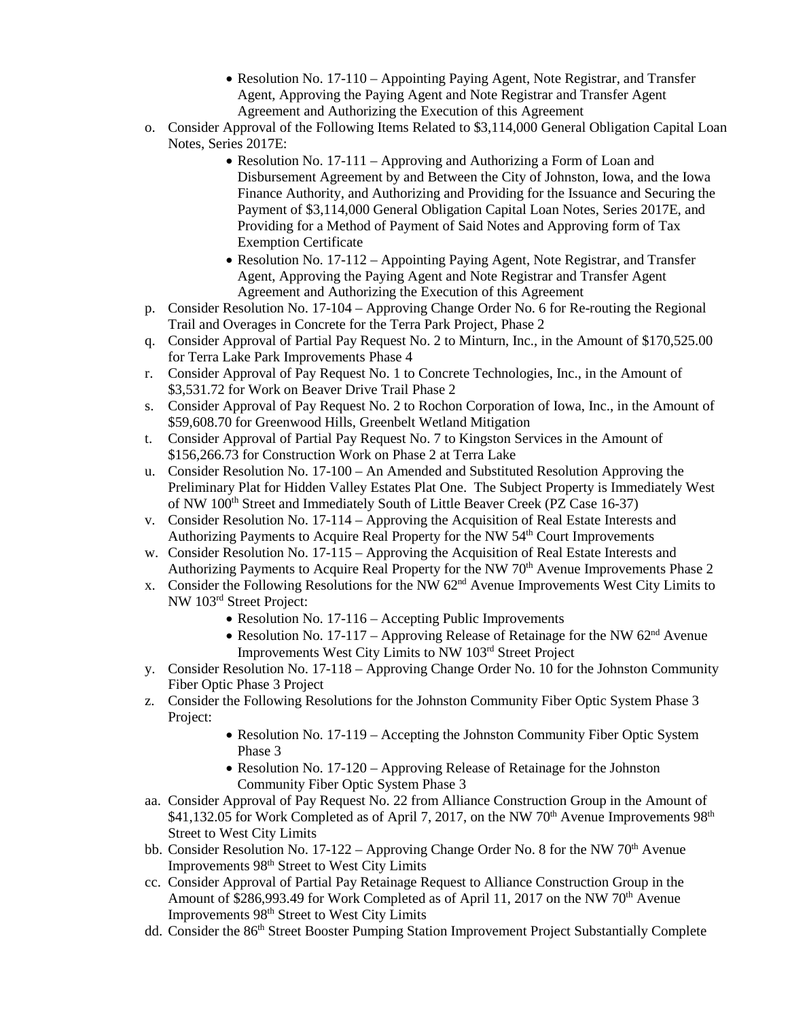- Resolution No. 17-110 Appointing Paying Agent, Note Registrar, and Transfer Agent, Approving the Paying Agent and Note Registrar and Transfer Agent Agreement and Authorizing the Execution of this Agreement
- o. Consider Approval of the Following Items Related to \$3,114,000 General Obligation Capital Loan Notes, Series 2017E:
	- Resolution No. 17-111 Approving and Authorizing a Form of Loan and Disbursement Agreement by and Between the City of Johnston, Iowa, and the Iowa Finance Authority, and Authorizing and Providing for the Issuance and Securing the Payment of \$3,114,000 General Obligation Capital Loan Notes, Series 2017E, and Providing for a Method of Payment of Said Notes and Approving form of Tax Exemption Certificate
	- Resolution No. 17-112 Appointing Paying Agent, Note Registrar, and Transfer Agent, Approving the Paying Agent and Note Registrar and Transfer Agent Agreement and Authorizing the Execution of this Agreement
- p. Consider Resolution No. 17-104 Approving Change Order No. 6 for Re-routing the Regional Trail and Overages in Concrete for the Terra Park Project, Phase 2
- q. Consider Approval of Partial Pay Request No. 2 to Minturn, Inc., in the Amount of \$170,525.00 for Terra Lake Park Improvements Phase 4
- r. Consider Approval of Pay Request No. 1 to Concrete Technologies, Inc., in the Amount of \$3,531.72 for Work on Beaver Drive Trail Phase 2
- s. Consider Approval of Pay Request No. 2 to Rochon Corporation of Iowa, Inc., in the Amount of \$59,608.70 for Greenwood Hills, Greenbelt Wetland Mitigation
- t. Consider Approval of Partial Pay Request No. 7 to Kingston Services in the Amount of \$156,266.73 for Construction Work on Phase 2 at Terra Lake
- u. Consider Resolution No. 17-100 An Amended and Substituted Resolution Approving the Preliminary Plat for Hidden Valley Estates Plat One. The Subject Property is Immediately West of NW 100<sup>th</sup> Street and Immediately South of Little Beaver Creek (PZ Case 16-37)
- v. Consider Resolution No. 17-114 Approving the Acquisition of Real Estate Interests and Authorizing Payments to Acquire Real Property for the NW 54th Court Improvements
- w. Consider Resolution No. 17-115 Approving the Acquisition of Real Estate Interests and Authorizing Payments to Acquire Real Property for the NW 70<sup>th</sup> Avenue Improvements Phase 2
- x. Consider the Following Resolutions for the NW 62nd Avenue Improvements West City Limits to NW 103rd Street Project:
	- Resolution No. 17-116 Accepting Public Improvements
	- Resolution No. 17-117 Approving Release of Retainage for the NW  $62<sup>nd</sup>$  Avenue Improvements West City Limits to NW 103rd Street Project
- y. Consider Resolution No. 17-118 Approving Change Order No. 10 for the Johnston Community Fiber Optic Phase 3 Project
- z. Consider the Following Resolutions for the Johnston Community Fiber Optic System Phase 3 Project:
	- Resolution No. 17-119 Accepting the Johnston Community Fiber Optic System Phase 3
	- Resolution No. 17-120 Approving Release of Retainage for the Johnston Community Fiber Optic System Phase 3
- aa. Consider Approval of Pay Request No. 22 from Alliance Construction Group in the Amount of  $$41,132.05$  for Work Completed as of April 7, 2017, on the NW 70<sup>th</sup> Avenue Improvements 98<sup>th</sup> Street to West City Limits
- bb. Consider Resolution No. 17-122 Approving Change Order No. 8 for the NW  $70<sup>th</sup>$  Avenue Improvements 98th Street to West City Limits
- cc. Consider Approval of Partial Pay Retainage Request to Alliance Construction Group in the Amount of \$286,993.49 for Work Completed as of April 11, 2017 on the NW 70<sup>th</sup> Avenue Improvements 98th Street to West City Limits
- dd. Consider the 86<sup>th</sup> Street Booster Pumping Station Improvement Project Substantially Complete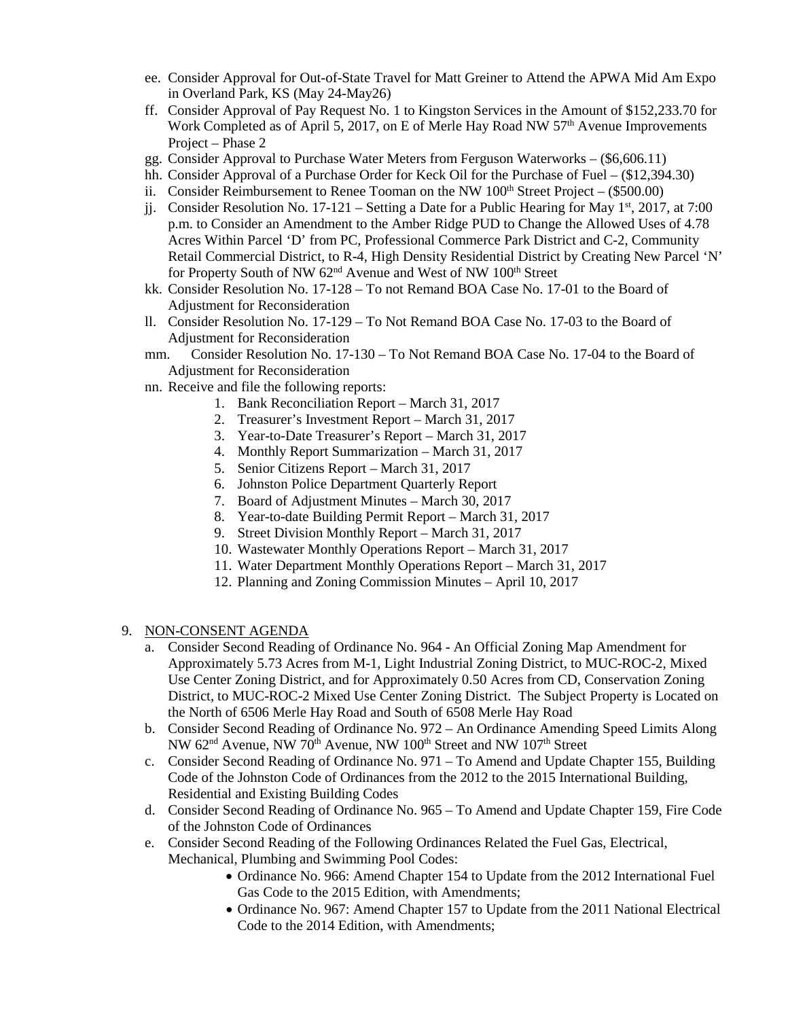- ee. Consider Approval for Out-of-State Travel for Matt Greiner to Attend the APWA Mid Am Expo in Overland Park, KS (May 24-May26)
- ff. Consider Approval of Pay Request No. 1 to Kingston Services in the Amount of \$152,233.70 for Work Completed as of April 5, 2017, on E of Merle Hay Road NW  $57<sup>th</sup>$  Avenue Improvements Project – Phase 2
- gg. Consider Approval to Purchase Water Meters from Ferguson Waterworks (\$6,606.11)
- hh. Consider Approval of a Purchase Order for Keck Oil for the Purchase of Fuel (\$12,394.30)
- ii. Consider Reimbursement to Renee Tooman on the NW  $100<sup>th</sup>$  Street Project (\$500.00)
- ji. Consider Resolution No. 17-121 Setting a Date for a Public Hearing for May 1<sup>st</sup>, 2017, at 7:00 p.m. to Consider an Amendment to the Amber Ridge PUD to Change the Allowed Uses of 4.78 Acres Within Parcel 'D' from PC, Professional Commerce Park District and C-2, Community Retail Commercial District, to R-4, High Density Residential District by Creating New Parcel 'N' for Property South of NW 62<sup>nd</sup> Avenue and West of NW 100<sup>th</sup> Street
- kk. Consider Resolution No. 17-128 To not Remand BOA Case No. 17-01 to the Board of Adjustment for Reconsideration
- ll. Consider Resolution No. 17-129 To Not Remand BOA Case No. 17-03 to the Board of Adjustment for Reconsideration
- mm. Consider Resolution No. 17-130 To Not Remand BOA Case No. 17-04 to the Board of Adjustment for Reconsideration
- nn. Receive and file the following reports:
	- 1. Bank Reconciliation Report March 31, 2017
	- 2. Treasurer's Investment Report March 31, 2017
	- 3. Year-to-Date Treasurer's Report March 31, 2017
	- 4. Monthly Report Summarization March 31, 2017
	- 5. Senior Citizens Report March 31, 2017
	- 6. Johnston Police Department Quarterly Report
	- 7. Board of Adjustment Minutes March 30, 2017
	- 8. Year-to-date Building Permit Report March 31, 2017
	- 9. Street Division Monthly Report March 31, 2017
	- 10. Wastewater Monthly Operations Report March 31, 2017
	- 11. Water Department Monthly Operations Report March 31, 2017
	- 12. Planning and Zoning Commission Minutes April 10, 2017
- 9. NON-CONSENT AGENDA
	- a. Consider Second Reading of Ordinance No. 964 An Official Zoning Map Amendment for Approximately 5.73 Acres from M-1, Light Industrial Zoning District, to MUC-ROC-2, Mixed Use Center Zoning District, and for Approximately 0.50 Acres from CD, Conservation Zoning District, to MUC-ROC-2 Mixed Use Center Zoning District. The Subject Property is Located on the North of 6506 Merle Hay Road and South of 6508 Merle Hay Road
	- b. Consider Second Reading of Ordinance No. 972 An Ordinance Amending Speed Limits Along NW 62<sup>nd</sup> Avenue, NW 70<sup>th</sup> Avenue, NW 100<sup>th</sup> Street and NW 107<sup>th</sup> Street
	- c. Consider Second Reading of Ordinance No. 971 To Amend and Update Chapter 155, Building Code of the Johnston Code of Ordinances from the 2012 to the 2015 International Building, Residential and Existing Building Codes
	- d. Consider Second Reading of Ordinance No. 965 To Amend and Update Chapter 159, Fire Code of the Johnston Code of Ordinances
	- e. Consider Second Reading of the Following Ordinances Related the Fuel Gas, Electrical, Mechanical, Plumbing and Swimming Pool Codes:
		- Ordinance No. 966: Amend Chapter 154 to Update from the 2012 International Fuel Gas Code to the 2015 Edition, with Amendments;
		- Ordinance No. 967: Amend Chapter 157 to Update from the 2011 National Electrical Code to the 2014 Edition, with Amendments;